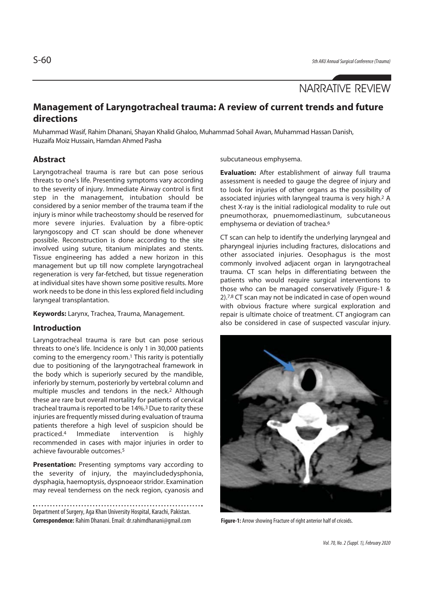# NARRATIVE REVIEW

# **Management of Laryngotracheal trauma: A review of current trends and future directions**

Muhammad Wasif, Rahim Dhanani, Shayan Khalid Ghaloo, Muhammad Sohail Awan, Muhammad Hassan Danish, Huzaifa Moiz Hussain, Hamdan Ahmed Pasha

# **Abstract**

Laryngotracheal trauma is rare but can pose serious threats to one's life. Presenting symptoms vary according to the severity of injury. Immediate Airway control is first step in the management, intubation should be considered by a senior member of the trauma team if the injury is minor while tracheostomy should be reserved for more severe injuries. Evaluation by a fibre-optic laryngoscopy and CT scan should be done whenever possible. Reconstruction is done according to the site involved using suture, titanium miniplates and stents. Tissue engineering has added a new horizon in this management but up till now complete laryngotracheal regeneration is very far-fetched, but tissue regeneration at individual sites have shown some positive results. More work needs to be done in this less explored field including laryngeal transplantation.

**Keywords:** Larynx, Trachea, Trauma, Management.

## **Introduction**

Laryngotracheal trauma is rare but can pose serious threats to one's life. Incidence is only 1 in 30,000 patients coming to the emergency room.1 This rarity is potentially due to positioning of the laryngotracheal framework in the body which is superiorly secured by the mandible, inferiorly by sternum, posteriorly by vertebral column and multiple muscles and tendons in the neck.2 Although these are rare but overall mortality for patients of cervical tracheal trauma is reported to be 14%.3 Due to rarity these injuries are frequently missed during evaluation of trauma patients therefore a high level of suspicion should be practiced.4 Immediate intervention is highly recommended in cases with major injuries in order to achieve favourable outcomes.5

**Presentation:** Presenting symptoms vary according to the severity of injury, the mayincludedysphonia, dysphagia, haemoptysis, dyspnoeaor stridor. Examination may reveal tenderness on the neck region, cyanosis and

Department of Surgery, Aga Khan University Hospital, Karachi, Pakistan. **Correspondence:** Rahim Dhanani. Email: dr.rahimdhanani@gmail.com subcutaneous emphysema.

**Evaluation:** After establishment of airway full trauma assessment is needed to gauge the degree of injury and to look for injuries of other organs as the possibility of associated injuries with laryngeal trauma is very high.2 A chest X-ray is the initial radiological modality to rule out pneumothorax, pnuemomediastinum, subcutaneous emphysema or deviation of trachea.<sup>6</sup>

CT scan can help to identify the underlying laryngeal and pharyngeal injuries including fractures, dislocations and other associated injuries. Oesophagus is the most commonly involved adjacent organ in laryngotracheal trauma. CT scan helps in differentiating between the patients who would require surgical interventions to those who can be managed conservatively (Figure-1 & 2).7,8 CT scan may not be indicated in case of open wound with obvious fracture where surgical exploration and repair is ultimate choice of treatment. CT angiogram can also be considered in case of suspected vascular injury.



**Figure-1:** Arrow showing Fracture of right anterior half of cricoids.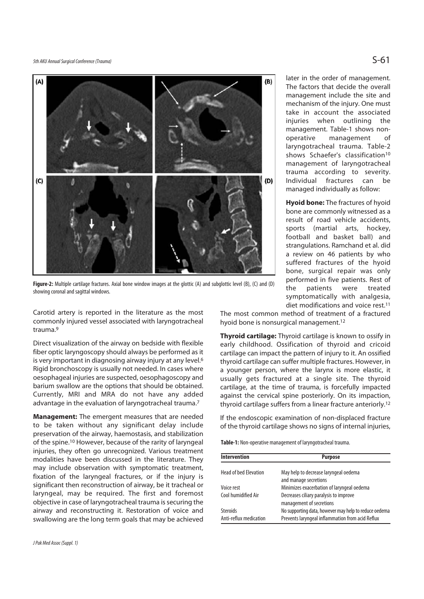# 5th AKU Annual Surgical Conference (Trauma)  $S$ -61



**Figure-2:** Multiple cartilage fractures. Axial bone window images at the glottic (A) and subglottic level (B), (C) and (D) showing coronal and sagittal windows.

Carotid artery is reported in the literature as the most commonly injured vessel associated with laryngotracheal trauma.9

Direct visualization of the airway on bedside with flexible fiber optic laryngoscopy should always be performed as it is very important in diagnosing airway injury at any level.<sup>6</sup> Rigid bronchoscopy is usually not needed. In cases where oesophageal injuries are suspected, oesophagoscopy and barium swallow are the options that should be obtained. Currently, MRI and MRA do not have any added advantage in the evaluation of laryngotracheal trauma.7

**Management:** The emergent measures that are needed to be taken without any significant delay include preservation of the airway, haemostasis, and stabilization of the spine.10 However, because of the rarity of laryngeal injuries, they often go unrecognized. Various treatment modalities have been discussed in the literature. They may include observation with symptomatic treatment, fixation of the laryngeal fractures, or if the injury is significant then reconstruction of airway, be it tracheal or laryngeal, may be required. The first and foremost objective in case of laryngotracheal trauma is securing the airway and reconstructing it. Restoration of voice and swallowing are the long term goals that may be achieved

later in the order of management. The factors that decide the overall management include the site and mechanism of the injury. One must take in account the associated injuries when outlining the management. Table-1 shows nonoperative management of laryngotracheal trauma. Table-2 shows Schaefer's classification<sup>10</sup> management of laryngotracheal trauma according to severity. Individual fractures can be managed individually as follow:

**Hyoid bone:** The fractures of hyoid bone are commonly witnessed as a result of road vehicle accidents, sports (martial arts, hockey, football and basket ball) and strangulations. Ramchand et al. did a review on 46 patients by who suffered fractures of the hyoid bone, surgical repair was only performed in five patients. Rest of the patients were treated symptomatically with analgesia, diet modifications and voice rest.11

The most common method of treatment of a fractured hyoid bone is nonsurgical management.12

**Thyroid cartilage:** Thyroid cartilage is known to ossify in early childhood. Ossification of thyroid and cricoid cartilage can impact the pattern of injury to it. An ossified thyroid cartilage can suffer multiple fractures. However, in a younger person, where the larynx is more elastic, it usually gets fractured at a single site. The thyroid cartilage, at the time of trauma, is forcefully impacted against the cervical spine posteriorly. On its impaction, thyroid cartilage suffers from a linear fracture anteriorly.12

If the endoscopic examination of non-displaced fracture of the thyroid cartilage shows no signs of internal injuries,

**Table-1:** Non-operative management of laryngotracheal trauma.

| <b>Intervention</b>          | <b>Purpose</b>                                                     |  |
|------------------------------|--------------------------------------------------------------------|--|
| <b>Head of bed Elevation</b> | May help to decrease laryngeal oedema<br>and manage secretions     |  |
| Voice rest                   | Minimizes exacerbation of laryngeal oedema                         |  |
| Cool humidified Air          | Decreases ciliary paralysis to improve<br>management of secretions |  |
| Steroids                     | No supporting data, however may help to reduce oedema              |  |
| Anti-reflux medication       | Prevents laryngeal inflammation from acid Reflux                   |  |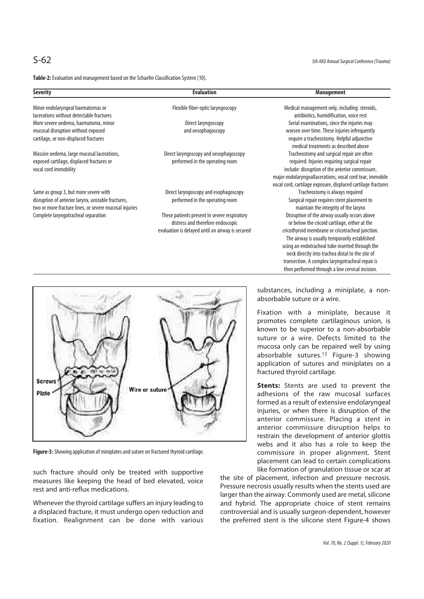S-62 5th AKU Annual Surgical Conference (Trauma)

**Table-2:** Evaluation and management based on the Schaefer Classification System (10).

| <b>Severity</b>                                                                                                                                       | <b>Evaluation</b>                                                                                                                     | <b>Management</b>                                                                                                                                                                                                                                                                                                                                                                                                 |
|-------------------------------------------------------------------------------------------------------------------------------------------------------|---------------------------------------------------------------------------------------------------------------------------------------|-------------------------------------------------------------------------------------------------------------------------------------------------------------------------------------------------------------------------------------------------------------------------------------------------------------------------------------------------------------------------------------------------------------------|
| Minor endolaryngeal haematomas or<br>lacerations without detectable fractures                                                                         | Flexible fiber-optic laryngoscopy                                                                                                     | Medical management only, including: steroids,<br>antibiotics, humidification, voice rest                                                                                                                                                                                                                                                                                                                          |
| More severe oedema, haematoma, minor<br>mucosal disruption without exposed<br>cartilage, or non-displaced fractures                                   | Direct laryngoscopy<br>and oesophagoscopy                                                                                             | Serial examinations, since the injuries may<br>worsen over time. These injuries infrequently<br>require a tracheostomy. Helpful adjunctive<br>medical treatments as described above                                                                                                                                                                                                                               |
| Massive oedema, large mucosal lacerations,<br>exposed cartilage, displaced fractures or<br>vocal cord immobility                                      | Direct laryngoscopy and oesophagoscopy<br>performed in the operating room                                                             | Tracheostomy and surgical repair are often<br>required. Injuries requiring surgical repair<br>include: disruption of the anterior commissure,<br>major endolaryngeallacerations, vocal cord tear, immobile<br>vocal cord, cartilage exposure, displaced cartilage fractures                                                                                                                                       |
| Same as group 3, but more severe with<br>disruption of anterior larynx, unstable fractures,<br>two or more fracture lines, or severe mucosal injuries | Direct laryngoscopy and esophagoscopy<br>performed in the operating room                                                              | Tracheostomy is always required<br>Surgical repair requires stent placement to<br>maintain the integrity of the larynx                                                                                                                                                                                                                                                                                            |
| Complete laryngotracheal separation                                                                                                                   | These patients present in severe respiratory<br>distress and therefore endoscopic<br>evaluation is delayed until an airway is secured | Disruption of the airway usually occurs above<br>or below the cricoid cartilage, either at the<br>cricothyroid membrane or cricotracheal junction.<br>The airway is usually temporarily established<br>using an endotracheal tube inserted through the<br>neck directly into trachea distal to the site of<br>transection. A complex laryngotracheal repair is<br>then performed through a low cervical incision. |



**Figure-3:** Showing application of miniplates and suture on fractured thyroid cartilage.

such fracture should only be treated with supportive measures like keeping the head of bed elevated, voice rest and anti-reflux medications.

Whenever the thyroid cartilage suffers an injury leading to a displaced fracture, it must undergo open reduction and fixation. Realignment can be done with various substances, including a miniplate, a nonabsorbable suture or a wire.

Fixation with a miniplate, because it promotes complete cartilaginous union, is known to be superior to a non-absorbable suture or a wire. Defects limited to the mucosa only can be repaired well by using absorbable sutures.<sup>13</sup> Figure-3 showing application of sutures and miniplates on a fractured thyroid cartilage.

**Stents:** Stents are used to prevent the adhesions of the raw mucosal surfaces formed as a result of extensive endolaryngeal injuries, or when there is disruption of the anterior commissure. Placing a stent in anterior commissure disruption helps to restrain the development of anterior glottis webs and it also has a role to keep the commissure in proper alignment. Stent placement can lead to certain complications like formation of granulation tissue or scar at

the site of placement, infection and pressure necrosis. Pressure necrosis usually results when the stents used are larger than the airway. Commonly used are metal, silicone and hybrid. The appropriate choice of stent remains controversial and is usually surgeon-dependent, however the preferred stent is the silicone stent Figure-4 shows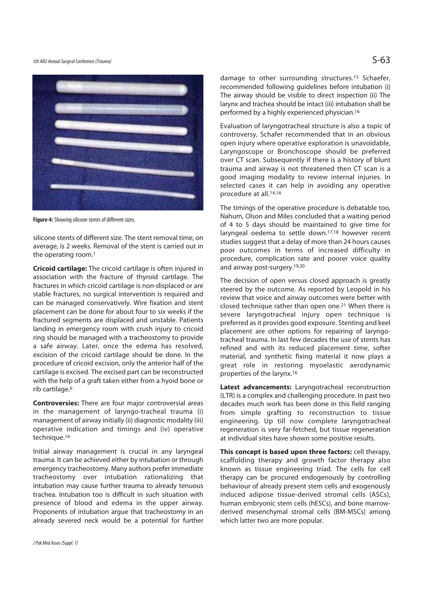

**Figure-4:** Showing silicone stents of different sizes.

silicone stents of different size. The stent removal time, on average, is 2 weeks. Removal of the stent is carried out in the operating room.1

**Cricoid cartilage:** The cricoid cartilage is often injured in association with the fracture of thyroid cartilage. The fractures in which cricoid cartilage is non-displaced or are stable fractures, no surgical intervention is required and can be managed conservatively. Wire fixation and stent placement can be done for about four to six weeks if the fractured segments are displaced and unstable. Patients landing in emergency room with crush injury to cricoid ring should be managed with a tracheostomy to provide a safe airway. Later, once the edema has resolved, excision of the cricoid cartilage should be done. In the procedure of cricoid excision, only the anterior half of the cartilage is excised. The excised part can be reconstructed with the help of a graft taken either from a hyoid bone or rib cartilage.6

**Controversies:** There are four major controversial areas in the management of laryngo-tracheal trauma (i) management of airway initially (ii) diagnostic modality (iii) operative indication and timings and (iv) operative technique.<sup>14</sup>

Initial airway management is crucial in any laryngeal trauma. It can be achieved either by intubation or through emergency tracheostomy. Many authors prefer immediate tracheostomy over intubation rationalizing that intubation may cause further trauma to already tenuous trachea. Intubation too is difficult in such situation with presence of blood and edema in the upper airway. Proponents of intubation argue that tracheostomy in an already severed neck would be a potential for further

J Pak Med Assoc (Suppl. 1)

damage to other surrounding structures.15 Schaefer, recommended following guidelines before intubation (i) The airway should be visible to direct inspection (ii) The larynx and trachea should be intact (iii) intubation shall be performed by a highly experienced physician.16

Evaluation of laryngotracheal structure is also a topic of controversy, Schafer recommended that in an obvious open injury where operative exploration is unavoidable, Laryngoscope or Bronchoscope should be preferred over CT scan. Subsequently if there is a history of blunt trauma and airway is not threatened then CT scan is a good imaging modality to review internal injuries. In selected cases it can help in avoiding any operative procedure at all.14,16

The timings of the operative procedure is debatable too, Nahum, Olson and Miles concluded that a waiting period of 4 to 5 days should be maintained to give time for laryngeal oedema to settle down.17,18 however recent studies suggest that a delay of more than 24 hours causes poor outcomes in terms of increased difficulty in procedure, complication rate and poorer voice quality and airway post-surgery.19,20

The decision of open versus closed approach is greatly steered by the outcome. As reported by Leopold in his review that voice and airway outcomes were better with closed technique rather than open one.21 When there is severe laryngotracheal injury open technique is preferred as it provides good exposure. Stenting and keel placement are other options for repairing of laryngotracheal trauma. In last few decades the use of stents has refined and with its reduced placement time, softer material, and synthetic fixing material it now plays a great role in restoring myoelastic aerodynamic properties of the larynx.16

**Latest advancements:** Laryngotracheal reconstruction (LTR) is a complex and challenging procedure. In past two decades much work has been done in this field ranging from simple grafting to reconstruction to tissue engineering. Up till now complete laryngotracheal regeneration is very far-fetched, but tissue regeneration at individual sites have shown some positive results.

**This concept is based upon three factors:** cell therapy, scaffolding therapy and growth factor therapy also known as tissue engineering triad. The cells for cell therapy can be procured endogenously by controlling behaviour of already present stem cells and exogenously induced adipose tissue-derived stromal cells (ASCs), human embryonic stem cells (hESCs), and bone marrowderived mesenchymal stromal cells (BM-MSCs) among which latter two are more popular.